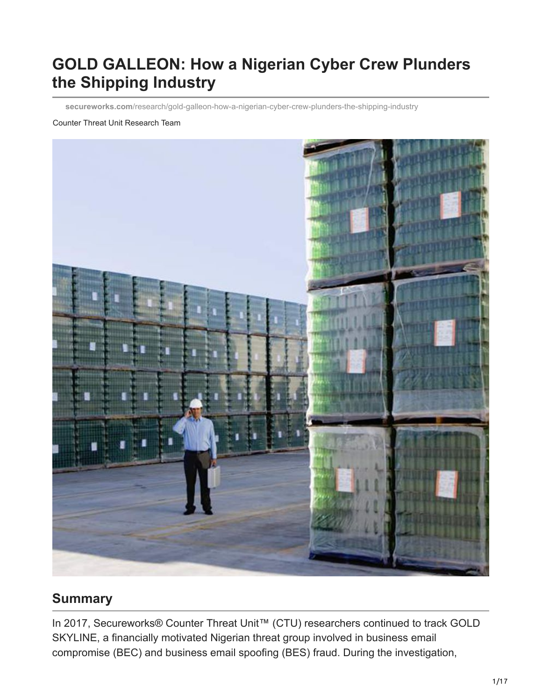# **GOLD GALLEON: How a Nigerian Cyber Crew Plunders the Shipping Industry**

**secureworks.com**[/research/gold-galleon-how-a-nigerian-cyber-crew-plunders-the-shipping-industry](https://www.secureworks.com/research/gold-galleon-how-a-nigerian-cyber-crew-plunders-the-shipping-industry)

#### Counter Threat Unit Research Team



#### **Summary**

In 2017, Secureworks® Counter Threat Unit™ (CTU) researchers continued to track GOLD SKYLINE, a financially motivated Nigerian threat group involved in business email compromise (BEC) and business email spoofing (BES) fraud. During the investigation,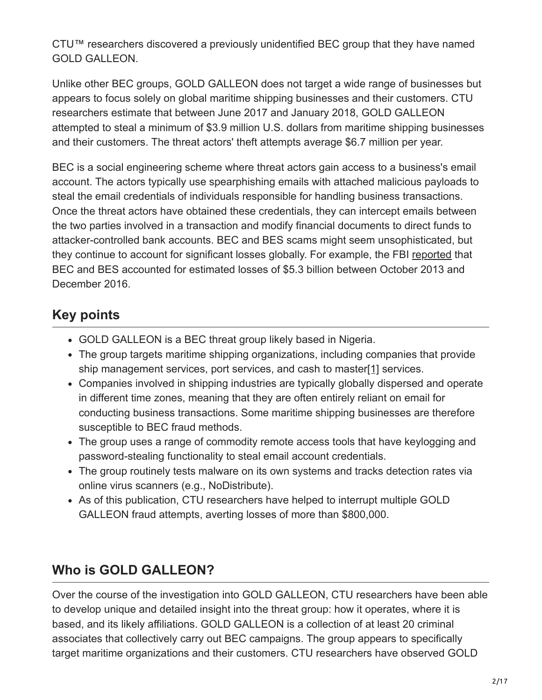CTU™ researchers discovered a previously unidentified BEC group that they have named GOLD GALLEON.

Unlike other BEC groups, GOLD GALLEON does not target a wide range of businesses but appears to focus solely on global maritime shipping businesses and their customers. CTU researchers estimate that between June 2017 and January 2018, GOLD GALLEON attempted to steal a minimum of \$3.9 million U.S. dollars from maritime shipping businesses and their customers. The threat actors' theft attempts average \$6.7 million per year.

BEC is a social engineering scheme where threat actors gain access to a business's email account. The actors typically use spearphishing emails with attached malicious payloads to steal the email credentials of individuals responsible for handling business transactions. Once the threat actors have obtained these credentials, they can intercept emails between the two parties involved in a transaction and modify financial documents to direct funds to attacker-controlled bank accounts. BEC and BES scams might seem unsophisticated, but they continue to account for significant losses globally. For example, the FBI [reported](https://www.ic3.gov/media/2017/170504.aspx) that BEC and BES accounted for estimated losses of \$5.3 billion between October 2013 and December 2016.

# **Key points**

- GOLD GALLEON is a BEC threat group likely based in Nigeria.
- <span id="page-1-0"></span>The group targets maritime shipping organizations, including companies that provide ship management services, port services, and cash to master[\[1\]](#page-16-0) services.
- Companies involved in shipping industries are typically globally dispersed and operate in different time zones, meaning that they are often entirely reliant on email for conducting business transactions. Some maritime shipping businesses are therefore susceptible to BEC fraud methods.
- The group uses a range of commodity remote access tools that have keylogging and password-stealing functionality to steal email account credentials.
- The group routinely tests malware on its own systems and tracks detection rates via online virus scanners (e.g., NoDistribute).
- As of this publication, CTU researchers have helped to interrupt multiple GOLD GALLEON fraud attempts, averting losses of more than \$800,000.

# **Who is GOLD GALLEON?**

Over the course of the investigation into GOLD GALLEON, CTU researchers have been able to develop unique and detailed insight into the threat group: how it operates, where it is based, and its likely affiliations. GOLD GALLEON is a collection of at least 20 criminal associates that collectively carry out BEC campaigns. The group appears to specifically target maritime organizations and their customers. CTU researchers have observed GOLD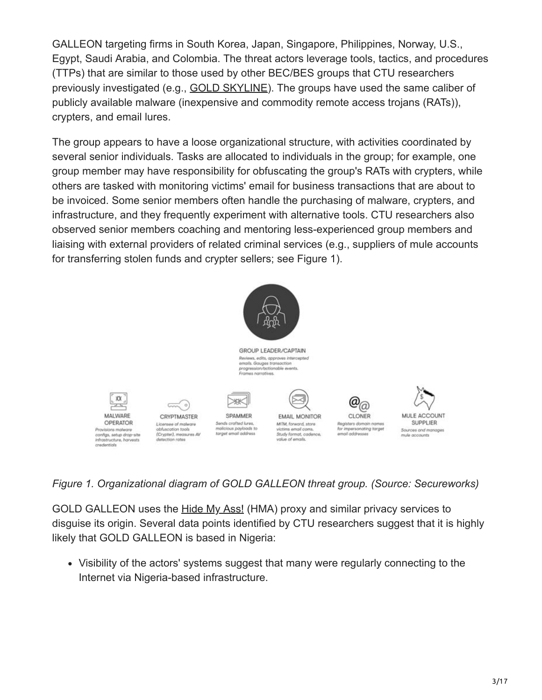GALLEON targeting firms in South Korea, Japan, Singapore, Philippines, Norway, U.S., Egypt, Saudi Arabia, and Colombia. The threat actors leverage tools, tactics, and procedures (TTPs) that are similar to those used by other BEC/BES groups that CTU researchers previously investigated (e.g., [GOLD SKYLINE](https://www.secureworks.com/research/wire-wire-a-west-african-cyber-threat)). The groups have used the same caliber of publicly available malware (inexpensive and commodity remote access trojans (RATs)), crypters, and email lures.

The group appears to have a loose organizational structure, with activities coordinated by several senior individuals. Tasks are allocated to individuals in the group; for example, one group member may have responsibility for obfuscating the group's RATs with crypters, while others are tasked with monitoring victims' email for business transactions that are about to be invoiced. Some senior members often handle the purchasing of malware, crypters, and infrastructure, and they frequently experiment with alternative tools. CTU researchers also observed senior members coaching and mentoring less-experienced group members and liaising with external providers of related criminal services (e.g., suppliers of mule accounts for transferring stolen funds and crypter sellers; see Figure 1).



#### *Figure 1. Organizational diagram of GOLD GALLEON threat group. (Source: Secureworks)*

GOLD GALLEON uses the [Hide My Ass!](https://www.hidemyass.com/en-us/index) (HMA) proxy and similar privacy services to disguise its origin. Several data points identified by CTU researchers suggest that it is highly likely that GOLD GALLEON is based in Nigeria:

Visibility of the actors' systems suggest that many were regularly connecting to the Internet via Nigeria-based infrastructure.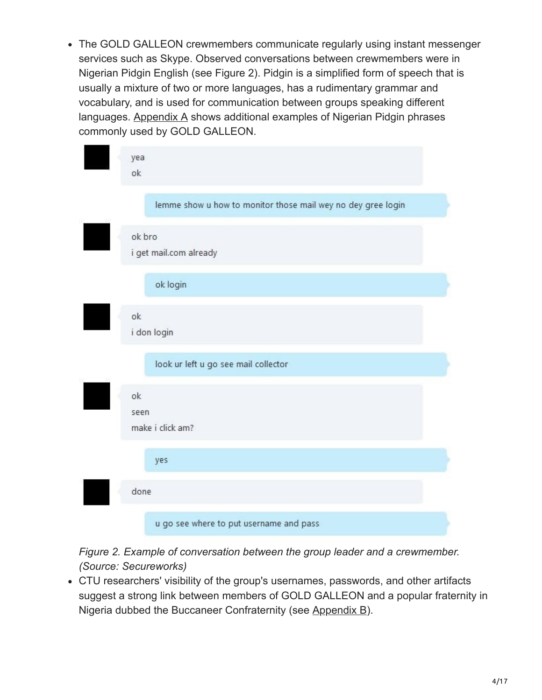• The GOLD GALLEON crewmembers communicate regularly using instant messenger services such as Skype. Observed conversations between crewmembers were in Nigerian Pidgin English (see Figure 2). Pidgin is a simplified form of speech that is usually a mixture of two or more languages, has a rudimentary grammar and vocabulary, and is used for communication between groups speaking different languages. [Appendix A](#page-13-0) shows additional examples of Nigerian Pidgin phrases commonly used by GOLD GALLEON.

| yea<br>ok                                                    |
|--------------------------------------------------------------|
| lemme show u how to monitor those mail wey no dey gree login |
| ok bro<br>i get mail.com already                             |
| ok login                                                     |
| ok<br>i don login                                            |
| look ur left u go see mail collector                         |
| ok<br>seen<br>make i click am?                               |
| yes                                                          |
| done                                                         |
| u go see where to put username and pass                      |

*Figure 2. Example of conversation between the group leader and a crewmember. (Source: Secureworks)*

CTU researchers' visibility of the group's usernames, passwords, and other artifacts suggest a strong link between members of GOLD GALLEON and a popular fraternity in Nigeria dubbed the Buccaneer Confraternity (see [Appendix B\)](#page-15-0).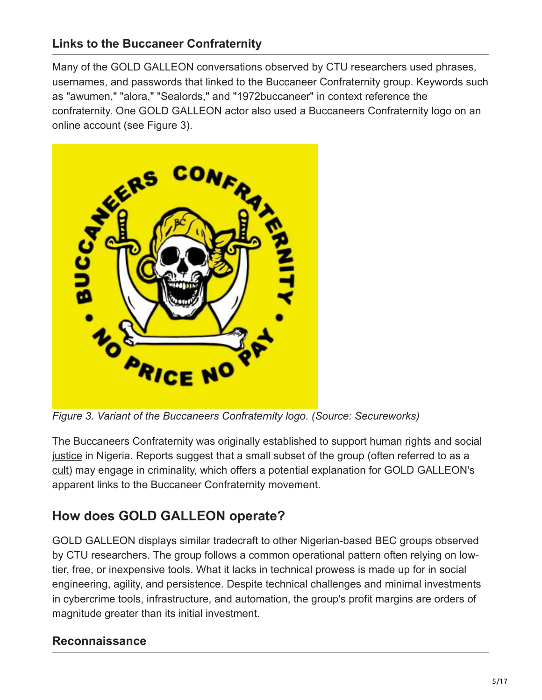### **Links to the Buccaneer Confraternity**

Many of the GOLD GALLEON conversations observed by CTU researchers used phrases, usernames, and passwords that linked to the Buccaneer Confraternity group. Keywords such as "awumen," "alora," "Sealords," and "1972buccaneer" in context reference the confraternity. One GOLD GALLEON actor also used a Buccaneers Confraternity logo on an online account (see Figure 3).



*Figure 3. Variant of the Buccaneers Confraternity logo. (Source: Secureworks)*

[The Buccaneers Confraternity was originally established to support h](https://en.wikipedia.org/wiki/Social_justice)[uman rights](https://en.wikipedia.org/wiki/Human_rights) [and social](https://en.wikipedia.org/wiki/Social_justice) justice in Nigeria. Reports suggest that a small subset of the group (often referred to as a [cult\)](https://guardian.ng/news/akwa-ibom-bans-more-than-30-cult-groups) may engage in criminality, which offers a potential explanation for GOLD GALLEON's apparent links to the Buccaneer Confraternity movement.

# **How does GOLD GALLEON operate?**

GOLD GALLEON displays similar tradecraft to other Nigerian-based BEC groups observed by CTU researchers. The group follows a common operational pattern often relying on lowtier, free, or inexpensive tools. What it lacks in technical prowess is made up for in social engineering, agility, and persistence. Despite technical challenges and minimal investments in cybercrime tools, infrastructure, and automation, the group's profit margins are orders of magnitude greater than its initial investment.

#### **Reconnaissance**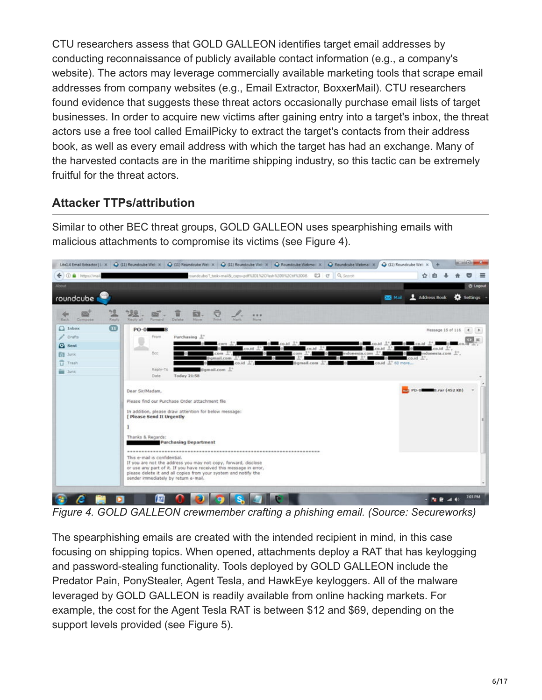CTU researchers assess that GOLD GALLEON identifies target email addresses by conducting reconnaissance of publicly available contact information (e.g., a company's website). The actors may leverage commercially available marketing tools that scrape email addresses from company websites (e.g., Email Extractor, BoxxerMail). CTU researchers found evidence that suggests these threat actors occasionally purchase email lists of target businesses. In order to acquire new victims after gaining entry into a target's inbox, the threat actors use a free tool called EmailPicky to extract the target's contacts from their address book, as well as every email address with which the target has had an exchange. Many of the harvested contacts are in the maritime shipping industry, so this tactic can be extremely fruitful for the threat actors.

### **Attacker TTPs/attribution**

Similar to other BEC threat groups, GOLD GALLEON uses spearphishing emails with malicious attachments to compromise its victims (see Figure 4).



*Figure 4. GOLD GALLEON crewmember crafting a phishing email. (Source: Secureworks)*

The spearphishing emails are created with the intended recipient in mind, in this case focusing on shipping topics. When opened, attachments deploy a RAT that has keylogging and password-stealing functionality. Tools deployed by GOLD GALLEON include the Predator Pain, PonyStealer, Agent Tesla, and HawkEye keyloggers. All of the malware leveraged by GOLD GALLEON is readily available from online hacking markets. For example, the cost for the Agent Tesla RAT is between \$12 and \$69, depending on the support levels provided (see Figure 5).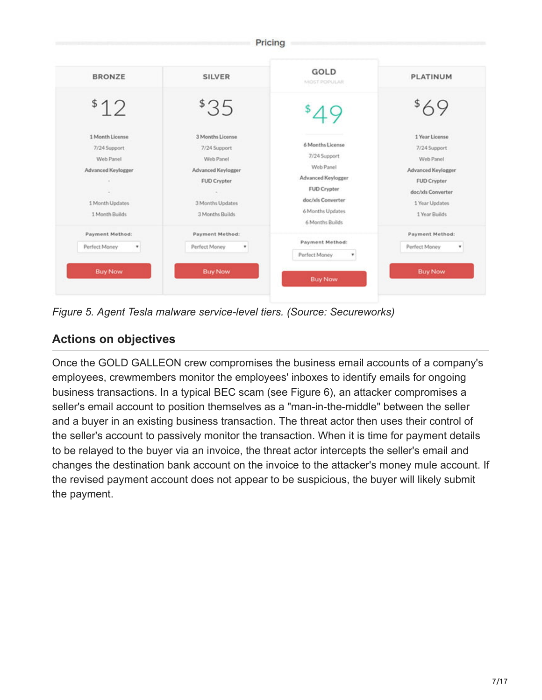| <b>BRONZE</b>      | <b>SILVER</b>      | GOLD<br>MOST POPULAR                | <b>PLATINUM</b>    |
|--------------------|--------------------|-------------------------------------|--------------------|
| \$12               | \$35               |                                     |                    |
| 1 Month License    | 3 Months License   |                                     | 1 Year License     |
| 7/24 Support       | 7/24 Support       | 6 Months License                    | 7/24 Support       |
| Web Panel          | Web Panel          | 7/24 Support                        | Web Panel          |
| Advanced Keylogger | Advanced Keylogger | Web Panel                           | Advanced Keylogger |
|                    | <b>FUD Crypter</b> | Advanced Keylogger                  | <b>FUD Crypter</b> |
| $\sim$             |                    | <b>FUD Crypter</b>                  | doc/xls Converter  |
| 1 Month Updates    | 3 Months Updates   | doc/xls Converter                   | 1 Year Updates     |
| 1 Month Builds     | 3 Months Builds    | 6 Months Updates<br>6 Months Builds | 1 Year Builds      |
| Payment Method:    | Payment Method:    |                                     | Payment Method:    |
| Perfect Money<br>٠ | Perfect Money<br>٠ | Payment Method:                     | Perfect Money<br>٠ |
|                    |                    | Perfect Money<br>۳                  |                    |
| <b>Buy Now</b>     | <b>Buy Now</b>     | <b>Buy Now</b>                      | <b>Buy Now</b>     |

*Figure 5. Agent Tesla malware service-level tiers. (Source: Secureworks)*

### **Actions on objectives**

Once the GOLD GALLEON crew compromises the business email accounts of a company's employees, crewmembers monitor the employees' inboxes to identify emails for ongoing business transactions. In a typical BEC scam (see Figure 6), an attacker compromises a seller's email account to position themselves as a "man-in-the-middle" between the seller and a buyer in an existing business transaction. The threat actor then uses their control of the seller's account to passively monitor the transaction. When it is time for payment details to be relayed to the buyer via an invoice, the threat actor intercepts the seller's email and changes the destination bank account on the invoice to the attacker's money mule account. If the revised payment account does not appear to be suspicious, the buyer will likely submit the payment.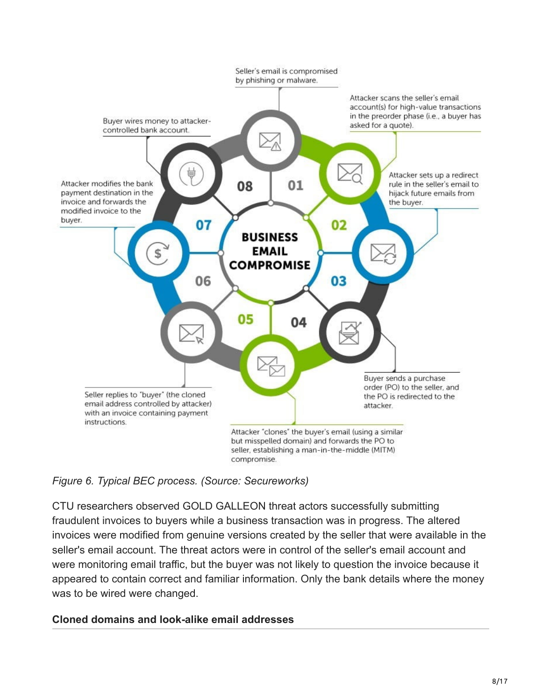

*Figure 6. Typical BEC process. (Source: Secureworks)*

CTU researchers observed GOLD GALLEON threat actors successfully submitting fraudulent invoices to buyers while a business transaction was in progress. The altered invoices were modified from genuine versions created by the seller that were available in the seller's email account. The threat actors were in control of the seller's email account and were monitoring email traffic, but the buyer was not likely to question the invoice because it appeared to contain correct and familiar information. Only the bank details where the money was to be wired were changed.

#### **Cloned domains and look-alike email addresses**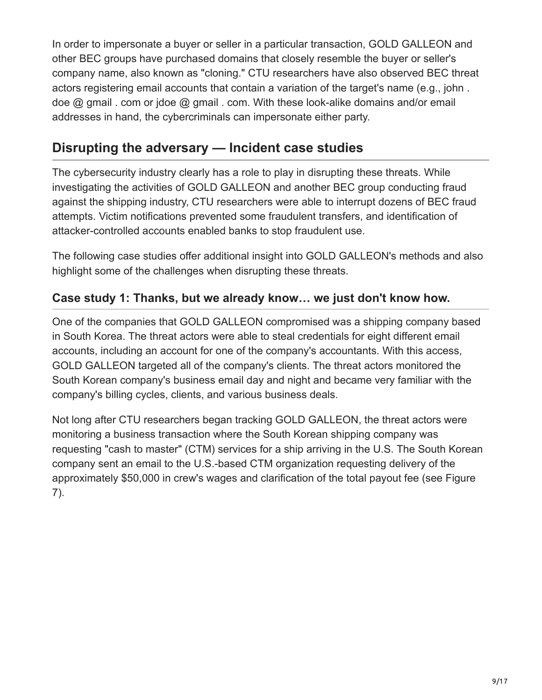In order to impersonate a buyer or seller in a particular transaction, GOLD GALLEON and other BEC groups have purchased domains that closely resemble the buyer or seller's company name, also known as "cloning." CTU researchers have also observed BEC threat actors registering email accounts that contain a variation of the target's name (e.g., john . doe @ gmail . com or jdoe @ gmail . com. With these look-alike domains and/or email addresses in hand, the cybercriminals can impersonate either party.

## **Disrupting the adversary — Incident case studies**

The cybersecurity industry clearly has a role to play in disrupting these threats. While investigating the activities of GOLD GALLEON and another BEC group conducting fraud against the shipping industry, CTU researchers were able to interrupt dozens of BEC fraud attempts. Victim notifications prevented some fraudulent transfers, and identification of attacker-controlled accounts enabled banks to stop fraudulent use.

The following case studies offer additional insight into GOLD GALLEON's methods and also highlight some of the challenges when disrupting these threats.

#### **Case study 1: Thanks, but we already know… we just don't know how.**

One of the companies that GOLD GALLEON compromised was a shipping company based in South Korea. The threat actors were able to steal credentials for eight different email accounts, including an account for one of the company's accountants. With this access, GOLD GALLEON targeted all of the company's clients. The threat actors monitored the South Korean company's business email day and night and became very familiar with the company's billing cycles, clients, and various business deals.

Not long after CTU researchers began tracking GOLD GALLEON, the threat actors were monitoring a business transaction where the South Korean shipping company was requesting "cash to master" (CTM) services for a ship arriving in the U.S. The South Korean company sent an email to the U.S.-based CTM organization requesting delivery of the approximately \$50,000 in crew's wages and clarification of the total payout fee (see Figure 7).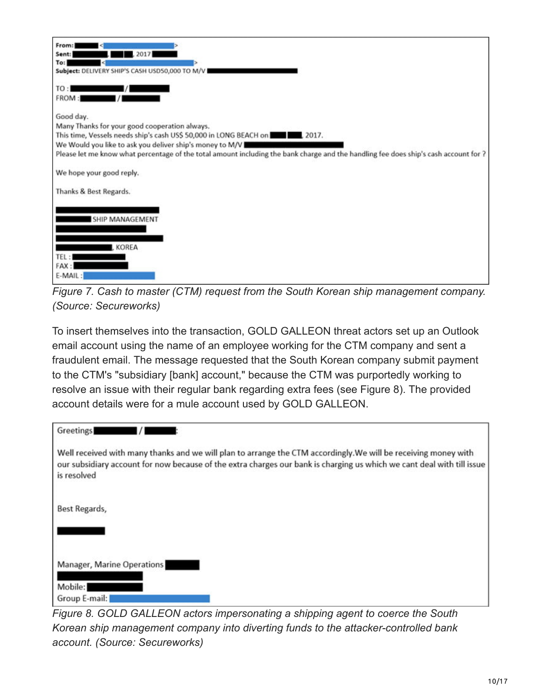| From:                                                                                                                                |
|--------------------------------------------------------------------------------------------------------------------------------------|
| 2017<br>Sent:                                                                                                                        |
| To:                                                                                                                                  |
| Subject: DELIVERY SHIP'S CASH USD50,000 TO M/V                                                                                       |
| TO:<br>FROM:                                                                                                                         |
| Good day.                                                                                                                            |
| Many Thanks for your good cooperation always.                                                                                        |
| This time, Vessels needs ship's cash US\$ 50,000 in LONG BEACH on <b>THE 2017.</b> 2017.                                             |
| We Would you like to ask you deliver ship's money to M/V                                                                             |
| Please let me know what percentage of the total amount including the bank charge and the handling fee does ship's cash account for ? |
|                                                                                                                                      |
| We hope your good reply.                                                                                                             |
| Thanks & Best Regards.                                                                                                               |
|                                                                                                                                      |
|                                                                                                                                      |
| <b>SHIP MANAGEMENT</b>                                                                                                               |
|                                                                                                                                      |
| <b>KOREA</b>                                                                                                                         |
| TEL:                                                                                                                                 |
| FAX:                                                                                                                                 |
| E-MAIL:                                                                                                                              |
|                                                                                                                                      |

*Figure 7. Cash to master (CTM) request from the South Korean ship management company. (Source: Secureworks)*

To insert themselves into the transaction, GOLD GALLEON threat actors set up an Outlook email account using the name of an employee working for the CTM company and sent a fraudulent email. The message requested that the South Korean company submit payment to the CTM's "subsidiary [bank] account," because the CTM was purportedly working to resolve an issue with their regular bank regarding extra fees (see Figure 8). The provided account details were for a mule account used by GOLD GALLEON.

| Greetings                                                                                                                                                                                                                                                |
|----------------------------------------------------------------------------------------------------------------------------------------------------------------------------------------------------------------------------------------------------------|
| Well received with many thanks and we will plan to arrange the CTM accordingly. We will be receiving money with<br>our subsidiary account for now because of the extra charges our bank is charging us which we cant deal with till issue<br>is resolved |
| Best Regards,                                                                                                                                                                                                                                            |
|                                                                                                                                                                                                                                                          |
| Manager, Marine Operations                                                                                                                                                                                                                               |
| Mobile:                                                                                                                                                                                                                                                  |
| Group E-mail:<br>$\sim$ $\sim$                                                                                                                                                                                                                           |

*Figure 8. GOLD GALLEON actors impersonating a shipping agent to coerce the South Korean ship management company into diverting funds to the attacker-controlled bank account. (Source: Secureworks)*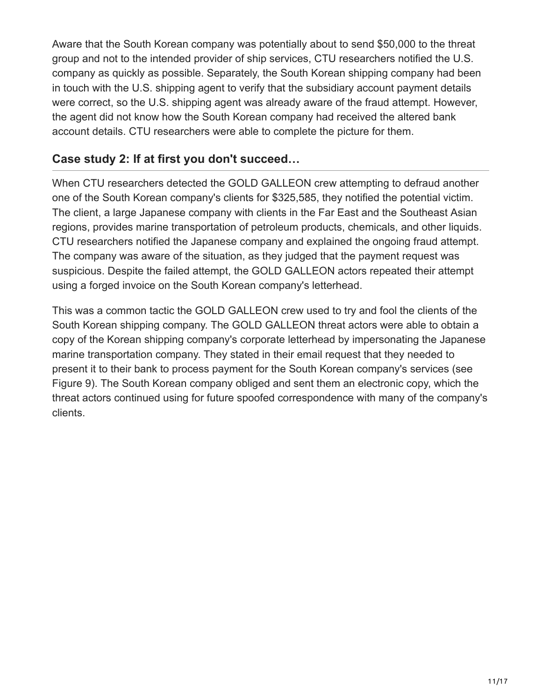Aware that the South Korean company was potentially about to send \$50,000 to the threat group and not to the intended provider of ship services, CTU researchers notified the U.S. company as quickly as possible. Separately, the South Korean shipping company had been in touch with the U.S. shipping agent to verify that the subsidiary account payment details were correct, so the U.S. shipping agent was already aware of the fraud attempt. However, the agent did not know how the South Korean company had received the altered bank account details. CTU researchers were able to complete the picture for them.

#### **Case study 2: If at first you don't succeed…**

When CTU researchers detected the GOLD GALLEON crew attempting to defraud another one of the South Korean company's clients for \$325,585, they notified the potential victim. The client, a large Japanese company with clients in the Far East and the Southeast Asian regions, provides marine transportation of petroleum products, chemicals, and other liquids. CTU researchers notified the Japanese company and explained the ongoing fraud attempt. The company was aware of the situation, as they judged that the payment request was suspicious. Despite the failed attempt, the GOLD GALLEON actors repeated their attempt using a forged invoice on the South Korean company's letterhead.

This was a common tactic the GOLD GALLEON crew used to try and fool the clients of the South Korean shipping company. The GOLD GALLEON threat actors were able to obtain a copy of the Korean shipping company's corporate letterhead by impersonating the Japanese marine transportation company. They stated in their email request that they needed to present it to their bank to process payment for the South Korean company's services (see Figure 9). The South Korean company obliged and sent them an electronic copy, which the threat actors continued using for future spoofed correspondence with many of the company's clients.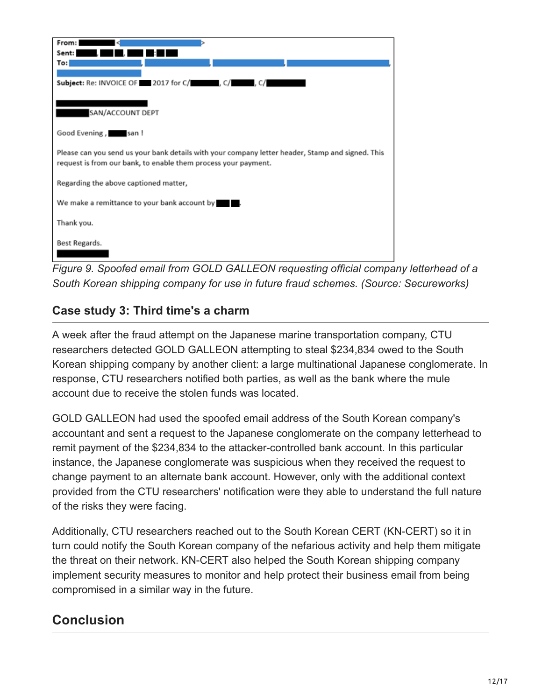| From:                                                                                            |
|--------------------------------------------------------------------------------------------------|
| Sent:                                                                                            |
| To: I                                                                                            |
|                                                                                                  |
| Subject: Re: INVOICE OF 2017 for C/                                                              |
|                                                                                                  |
|                                                                                                  |
| SAN/ACCOUNT DEPT                                                                                 |
|                                                                                                  |
| Good Evening, san!                                                                               |
| Please can you send us your bank details with your company letter header, Stamp and signed. This |
| request is from our bank, to enable them process your payment.                                   |
|                                                                                                  |
| Regarding the above captioned matter,                                                            |
|                                                                                                  |
| We make a remittance to your bank account by                                                     |
|                                                                                                  |
| Thank you.                                                                                       |
|                                                                                                  |
| Best Regards.                                                                                    |
|                                                                                                  |
| $Eigura \Omega$ , Casafed amail from COLD CALLEON requesting official sample                     |

*Figure 9. Spoofed email from GOLD GALLEON requesting official company letterhead of a South Korean shipping company for use in future fraud schemes. (Source: Secureworks)*

### **Case study 3: Third time's a charm**

A week after the fraud attempt on the Japanese marine transportation company, CTU researchers detected GOLD GALLEON attempting to steal \$234,834 owed to the South Korean shipping company by another client: a large multinational Japanese conglomerate. In response, CTU researchers notified both parties, as well as the bank where the mule account due to receive the stolen funds was located.

GOLD GALLEON had used the spoofed email address of the South Korean company's accountant and sent a request to the Japanese conglomerate on the company letterhead to remit payment of the \$234,834 to the attacker-controlled bank account. In this particular instance, the Japanese conglomerate was suspicious when they received the request to change payment to an alternate bank account. However, only with the additional context provided from the CTU researchers' notification were they able to understand the full nature of the risks they were facing.

Additionally, CTU researchers reached out to the South Korean CERT (KN-CERT) so it in turn could notify the South Korean company of the nefarious activity and help them mitigate the threat on their network. KN-CERT also helped the South Korean shipping company implement security measures to monitor and help protect their business email from being compromised in a similar way in the future.

# **Conclusion**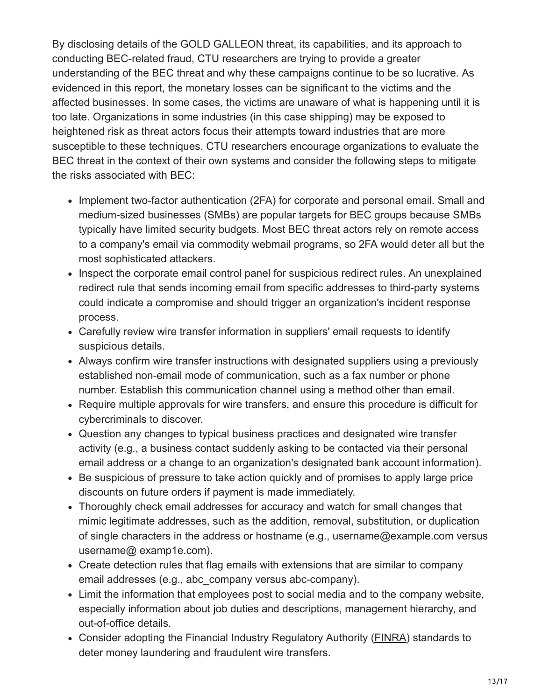By disclosing details of the GOLD GALLEON threat, its capabilities, and its approach to conducting BEC-related fraud, CTU researchers are trying to provide a greater understanding of the BEC threat and why these campaigns continue to be so lucrative. As evidenced in this report, the monetary losses can be significant to the victims and the affected businesses. In some cases, the victims are unaware of what is happening until it is too late. Organizations in some industries (in this case shipping) may be exposed to heightened risk as threat actors focus their attempts toward industries that are more susceptible to these techniques. CTU researchers encourage organizations to evaluate the BEC threat in the context of their own systems and consider the following steps to mitigate the risks associated with BEC:

- Implement two-factor authentication (2FA) for corporate and personal email. Small and medium-sized businesses (SMBs) are popular targets for BEC groups because SMBs typically have limited security budgets. Most BEC threat actors rely on remote access to a company's email via commodity webmail programs, so 2FA would deter all but the most sophisticated attackers.
- Inspect the corporate email control panel for suspicious redirect rules. An unexplained redirect rule that sends incoming email from specific addresses to third-party systems could indicate a compromise and should trigger an organization's incident response process.
- Carefully review wire transfer information in suppliers' email requests to identify suspicious details.
- Always confirm wire transfer instructions with designated suppliers using a previously established non-email mode of communication, such as a fax number or phone number. Establish this communication channel using a method other than email.
- Require multiple approvals for wire transfers, and ensure this procedure is difficult for cybercriminals to discover.
- Question any changes to typical business practices and designated wire transfer activity (e.g., a business contact suddenly asking to be contacted via their personal email address or a change to an organization's designated bank account information).
- Be suspicious of pressure to take action quickly and of promises to apply large price discounts on future orders if payment is made immediately.
- Thoroughly check email addresses for accuracy and watch for small changes that mimic legitimate addresses, such as the addition, removal, substitution, or duplication of single characters in the address or hostname (e.g., username@example.com versus username@ examp1e.com).
- Create detection rules that flag emails with extensions that are similar to company email addresses (e.g., abc\_company versus abc-company).
- Limit the information that employees post to social media and to the company website, especially information about job duties and descriptions, management hierarchy, and out-of-office details.
- Consider adopting the Financial Industry Regulatory Authority ([FINRA](http://www.finra.org/)) standards to deter money laundering and fraudulent wire transfers.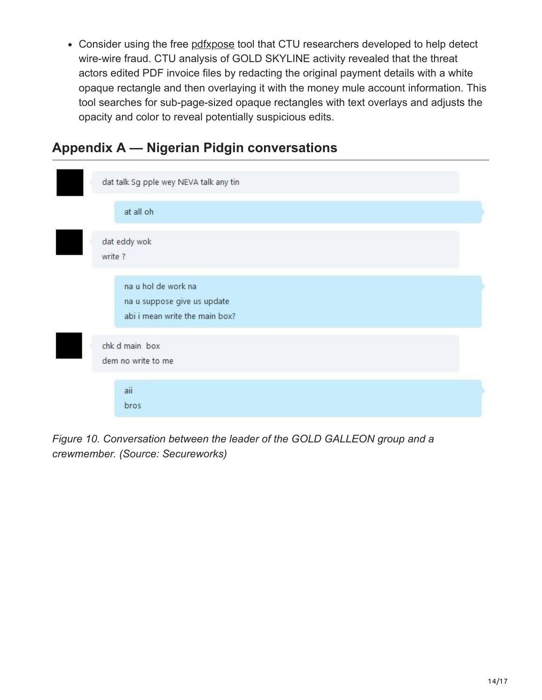Consider using the free [pdfxpose](https://github.com/secureworks/pdfxpose) tool that CTU researchers developed to help detect wire-wire fraud. CTU analysis of GOLD SKYLINE activity revealed that the threat actors edited PDF invoice files by redacting the original payment details with a white opaque rectangle and then overlaying it with the money mule account information. This tool searches for sub-page-sized opaque rectangles with text overlays and adjusts the opacity and color to reveal potentially suspicious edits.

# <span id="page-13-0"></span>**Appendix A — Nigerian Pidgin conversations**



*Figure 10. Conversation between the leader of the GOLD GALLEON group and a crewmember. (Source: Secureworks)*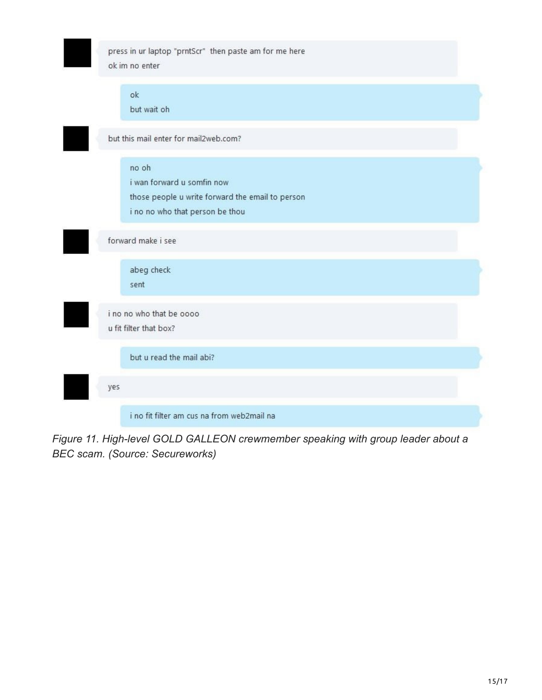

*Figure 11. High-level GOLD GALLEON crewmember speaking with group leader about a BEC scam. (Source: Secureworks)*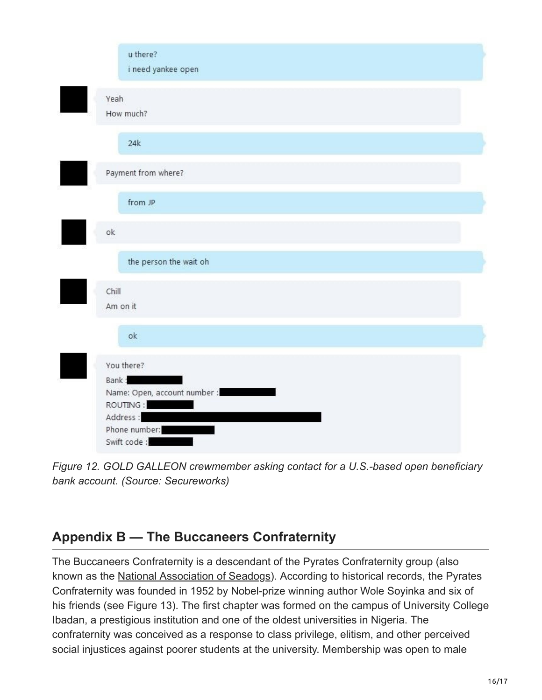| u there?<br>i need yankee open                                                                              |  |
|-------------------------------------------------------------------------------------------------------------|--|
| Yeah<br>How much?                                                                                           |  |
| 24k                                                                                                         |  |
| Payment from where?                                                                                         |  |
| from JP                                                                                                     |  |
| ok                                                                                                          |  |
| the person the wait oh                                                                                      |  |
| Chill<br>Am on it                                                                                           |  |
| ok                                                                                                          |  |
| You there?<br>Bank:<br>Name: Open, account number :<br>ROUTING:<br>Address:<br>Phone number:<br>Swift code: |  |

*Figure 12. GOLD GALLEON crewmember asking contact for a U.S.-based open beneficiary bank account. (Source: Secureworks)*

# <span id="page-15-0"></span>**Appendix B — The Buccaneers Confraternity**

The Buccaneers Confraternity is a descendant of the Pyrates Confraternity group (also known as the [National Association of Seadogs\)](https://en.wikipedia.org/wiki/National_Association_of_Seadogs). According to historical records, the Pyrates Confraternity was founded in 1952 by Nobel-prize winning author Wole Soyinka and six of his friends (see Figure 13). The first chapter was formed on the campus of University College Ibadan, a prestigious institution and one of the oldest universities in Nigeria. The confraternity was conceived as a response to class privilege, elitism, and other perceived social injustices against poorer students at the university. Membership was open to male